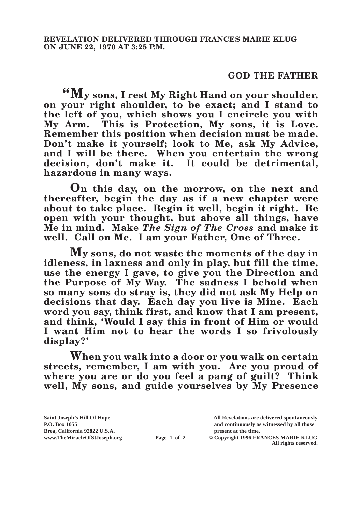## **GOD THE FATHER**

**"My sons, I rest My Right Hand on your shoulder, on your right shoulder, to be exact; and I stand to the left of you, which shows you I encircle you with My Arm. This is Protection, My sons, it is Love. Remember this position when decision must be made. Don't make it yourself; look to Me, ask My Advice, and I will be there. When you entertain the wrong decision, don't make it. It could be detrimental, hazardous in many ways.**

**On this day, on the morrow, on the next and thereafter, begin the day as if a new chapter were about to take place. Begin it well, begin it right. Be open with your thought, but above all things, have Me in mind. Make** *The Sign of The Cross* **and make it well. Call on Me. I am your Father, One of Three.**

**My sons, do not waste the moments of the day in idleness, in laxness and only in play, but fill the time, use the energy I gave, to give you the Direction and the Purpose of My Way. The sadness I behold when so many sons do stray is, they did not ask My Help on decisions that day. Each day you live is Mine. Each word you say, think first, and know that I am present, and think, 'Would I say this in front of Him or would I want Him not to hear the words I so frivolously display?'**

**When you walk into a door or you walk on certain streets, remember, I am with you. Are you proud of where you are or do you feel a pang of guilt? Think well, My sons, and guide yourselves by My Presence** 

**All rights reserved.**